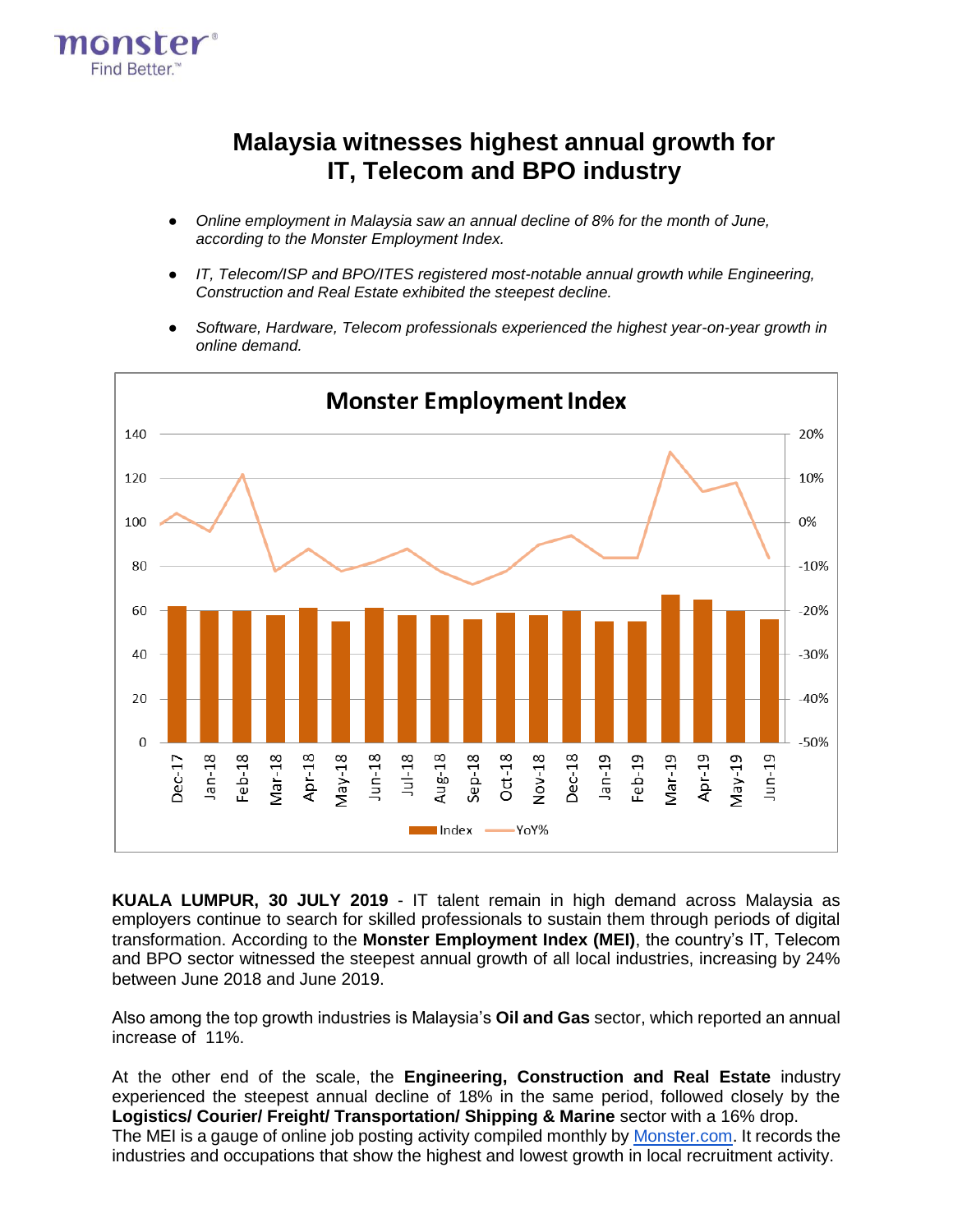

## **Malaysia witnesses highest annual growth for IT, Telecom and BPO industry**

- Online employment in Malaysia saw an annual decline of 8% for the month of June, *according to the Monster Employment Index.*
- *IT, Telecom/ISP and BPO/ITES registered most-notable annual growth while Engineering, Construction and Real Estate exhibited the steepest decline.*
- *Software, Hardware, Telecom professionals experienced the highest year-on-year growth in online demand.*



**KUALA LUMPUR, 30 JULY 2019** - IT talent remain in high demand across Malaysia as employers continue to search for skilled professionals to sustain them through periods of digital transformation. According to the **Monster Employment Index (MEI)**, the country's IT, Telecom and BPO sector witnessed the steepest annual growth of all local industries, increasing by 24% between June 2018 and June 2019.

Also among the top growth industries is Malaysia's **Oil and Gas** sector, which reported an annual increase of 11%.

At the other end of the scale, the **Engineering, Construction and Real Estate** industry experienced the steepest annual decline of 18% in the same period, followed closely by the **Logistics/ Courier/ Freight/ Transportation/ Shipping & Marine** sector with a 16% drop. Th[e MEI](https://www.monster.com.sg/employment-index/) is a gauge of online job posting activity compiled monthly by [Monster.com.](http://monster.com.sg/) It records the industries and occupations that show the highest and lowest growth in local recruitment activity.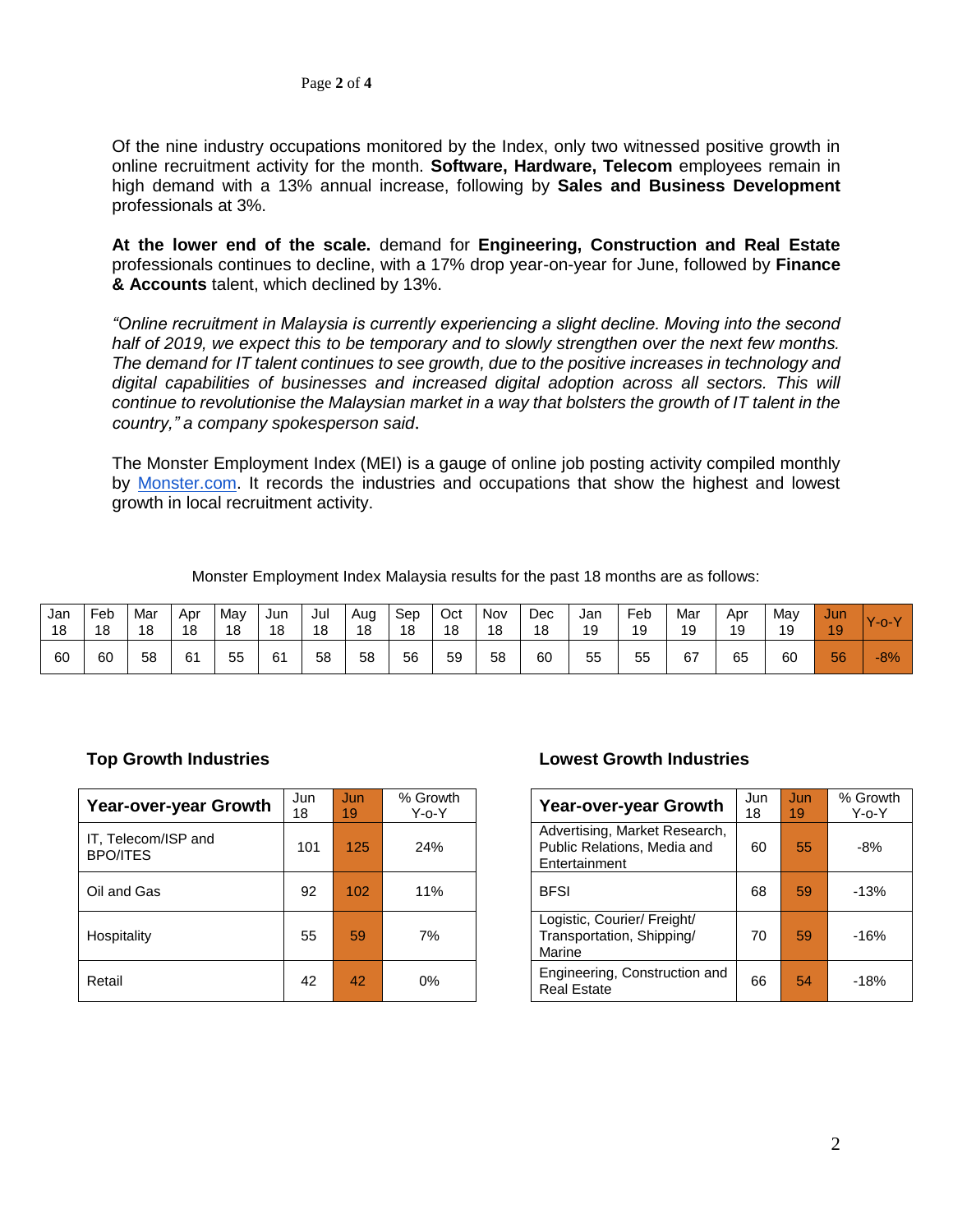Of the nine industry occupations monitored by the Index, only two witnessed positive growth in online recruitment activity for the month. **Software, Hardware, Telecom** employees remain in high demand with a 13% annual increase, following by **Sales and Business Development**  professionals at 3%.

**At the lower end of the scale.** demand for **Engineering, Construction and Real Estate**  professionals continues to decline, with a 17% drop year-on-year for June, followed by **Finance & Accounts** talent, which declined by 13%.

*"Online recruitment in Malaysia is currently experiencing a slight decline. Moving into the second half of 2019, we expect this to be temporary and to slowly strengthen over the next few months. The demand for IT talent continues to see growth, due to the positive increases in technology and digital capabilities of businesses and increased digital adoption across all sectors. This will continue to revolutionise the Malaysian market in a way that bolsters the growth of IT talent in the country," a company spokesperson said*.

The [Monster Employment Index \(MEI\)](https://www.monster.com.sg/employment-index/) is a gauge of online job posting activity compiled monthly by [Monster.com.](http://monster.com.my/) It records the industries and occupations that show the highest and lowest growth in local recruitment activity.

Monster Employment Index Malaysia results for the past 18 months are as follows:

| Jan | ⊑eb | Mar | Apr | May | Jun | Jul | Aug | Sep | Oct | Nov | Dec | Jan | Feb | Mar | Apr | May | Jun | $40-V$ |
|-----|-----|-----|-----|-----|-----|-----|-----|-----|-----|-----|-----|-----|-----|-----|-----|-----|-----|--------|
| 18  | 18  | 18  | 18  | 18  | 18  | 18  | 18  | 18  | 18  | 18  | 18  | 19  | 19  | 19  | 19  | 19  | 19  |        |
| 60  | 60  | 58  | 61  | 55  | 61  | 58  | 58  | 56  | 59  | 58  | 60  | 55  | 55  | 67  | 65  | 60  | 56  | $-8%$  |

| Year-over-year Growth                  | Jun      | Jun | % Growth    | <b>Year-over-year Growth</b>                                                  | Jun | Jun | % Grow      |
|----------------------------------------|----------|-----|-------------|-------------------------------------------------------------------------------|-----|-----|-------------|
|                                        | 18<br>19 |     | $Y$ -o- $Y$ |                                                                               | 18  | 19  | $Y$ -0- $Y$ |
| IT, Telecom/ISP and<br><b>BPO/ITES</b> | 101      | 125 | 24%         | Advertising, Market Research,<br>Public Relations, Media and<br>Entertainment | 60  | 55  | -8%         |
| Oil and Gas                            | 92       | 102 | 11%         | <b>BFSI</b>                                                                   | 68  | 59  | $-13%$      |
| Hospitality                            | 55       | 59  | 7%          | Logistic, Courier/ Freight/<br>Transportation, Shipping/<br>Marine            | 70  | 59  | $-16%$      |
| Retail                                 | 42       | 42  | $0\%$       | Engineering, Construction and<br><b>Real Estate</b>                           | 66  | 54  | $-18%$      |

## **Top Growth Industries Lowest Growth Industries**

| Year-over-year Growth                                                         | Jun<br>18 | Jun<br>19 | % Growth<br>$Y$ -0- $Y$ |
|-------------------------------------------------------------------------------|-----------|-----------|-------------------------|
| Advertising, Market Research,<br>Public Relations, Media and<br>Entertainment | 60        | 55        | $-8%$                   |
| <b>BFSI</b>                                                                   | 68        | 59        | $-13%$                  |
| Logistic, Courier/ Freight/<br>Transportation, Shipping/<br>Marine            | 70        | 59        | $-16%$                  |
| Engineering, Construction and<br><b>Real Estate</b>                           | 66        | 54        | $-18%$                  |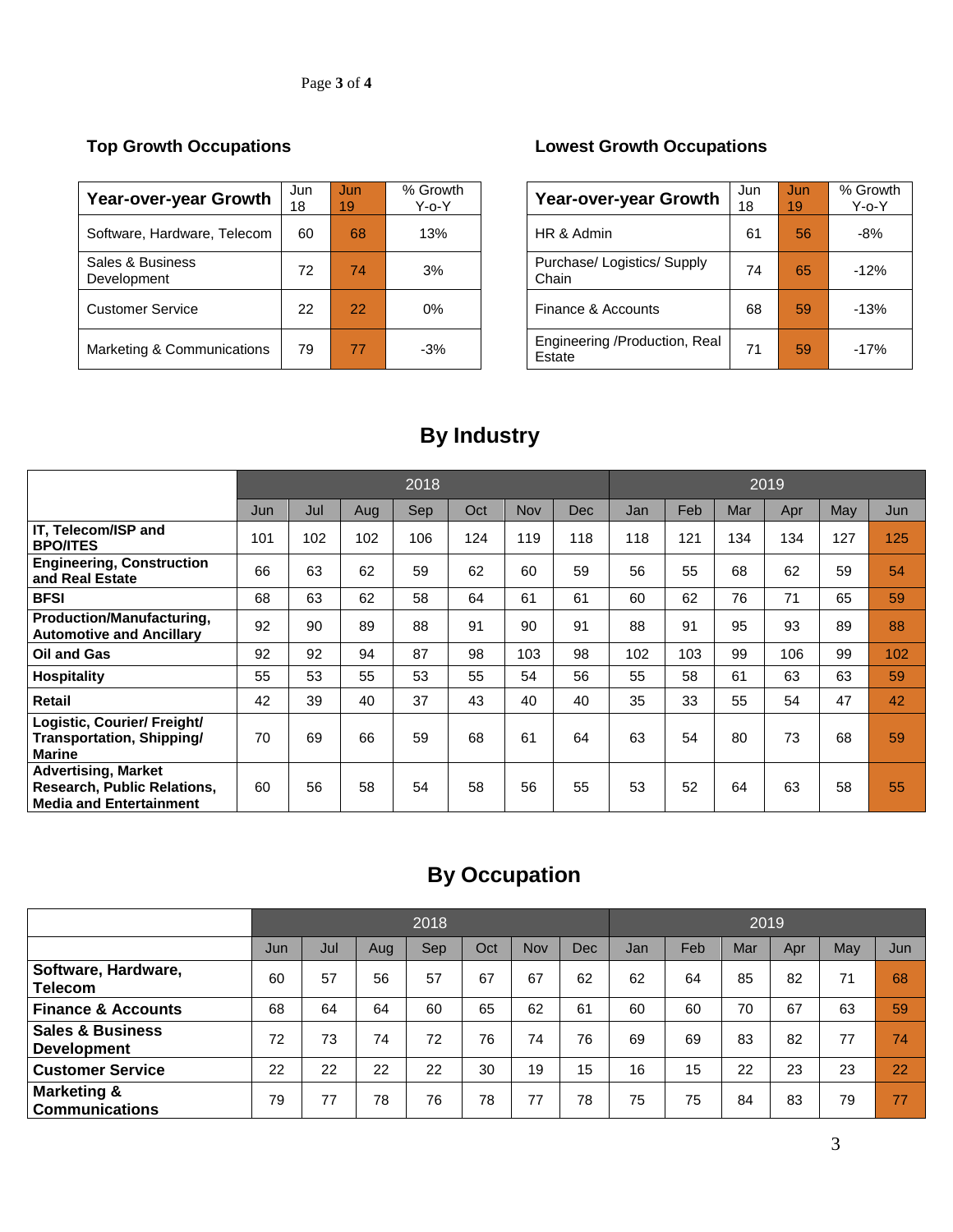| Year-over-year Growth           | Jun<br>18 | Jun<br>19 | % Growth<br>Y-o-Y | Year-over-year Growth                   | Jun<br>18 | Jun<br>19 | % Grow<br>$Y$ -0- $Y$ |
|---------------------------------|-----------|-----------|-------------------|-----------------------------------------|-----------|-----------|-----------------------|
| Software, Hardware, Telecom     | 60        | 68        | 13%               | HR & Admin                              | 61        | 56        | -8%                   |
| Sales & Business<br>Development | 72        | 74        | 3%                | Purchase/ Logistics/ Supply<br>Chain    | 74        | 65        | $-12%$                |
| <b>Customer Service</b>         | 22        | 22        | 0%                | Finance & Accounts                      | 68        | 59        | $-13%$                |
| Marketing & Communications      | 79        | 77        | $-3%$             | Engineering /Production, Real<br>Estate | 71        | 59        | $-17%$                |

## **Top Growth Occupations Lowest Growth Occupations**

| <b>Year-over-year Growth</b>            | Jun<br>18 | Jun<br>19 | % Growth<br>$Y$ -o- $Y$ |
|-----------------------------------------|-----------|-----------|-------------------------|
| HR & Admin                              | 61        | 56        | -8%                     |
| Purchase/Logistics/Supply<br>Chain      | 74        | 65        | $-12%$                  |
| Finance & Accounts                      | 68        | 59        | $-13%$                  |
| Engineering /Production, Real<br>Estate | 71        | 59        | $-17%$                  |

# **By Industry**

|                                                                                                    |     | 2018 |     |     |     |     |     |     | 2019 |     |     |     |     |  |  |
|----------------------------------------------------------------------------------------------------|-----|------|-----|-----|-----|-----|-----|-----|------|-----|-----|-----|-----|--|--|
|                                                                                                    | Jun | Jul  | Aug | Sep | Oct | Nov | Dec | Jan | Feb  | Mar | Apr | May | Jun |  |  |
| IT, Telecom/ISP and<br><b>BPO/ITES</b>                                                             | 101 | 102  | 102 | 106 | 124 | 119 | 118 | 118 | 121  | 134 | 134 | 127 | 125 |  |  |
| <b>Engineering, Construction</b><br>and Real Estate                                                | 66  | 63   | 62  | 59  | 62  | 60  | 59  | 56  | 55   | 68  | 62  | 59  | 54  |  |  |
| <b>BFSI</b>                                                                                        | 68  | 63   | 62  | 58  | 64  | 61  | 61  | 60  | 62   | 76  | 71  | 65  | 59  |  |  |
| Production/Manufacturing,<br><b>Automotive and Ancillary</b>                                       | 92  | 90   | 89  | 88  | 91  | 90  | 91  | 88  | 91   | 95  | 93  | 89  | 88  |  |  |
| <b>Oil and Gas</b>                                                                                 | 92  | 92   | 94  | 87  | 98  | 103 | 98  | 102 | 103  | 99  | 106 | 99  | 102 |  |  |
| <b>Hospitality</b>                                                                                 | 55  | 53   | 55  | 53  | 55  | 54  | 56  | 55  | 58   | 61  | 63  | 63  | 59  |  |  |
| <b>Retail</b>                                                                                      | 42  | 39   | 40  | 37  | 43  | 40  | 40  | 35  | 33   | 55  | 54  | 47  | 42  |  |  |
| Logistic, Courier/ Freight/<br>Transportation, Shipping/<br>Marine                                 | 70  | 69   | 66  | 59  | 68  | 61  | 64  | 63  | 54   | 80  | 73  | 68  | 59  |  |  |
| <b>Advertising, Market</b><br><b>Research, Public Relations,</b><br><b>Media and Entertainment</b> | 60  | 56   | 58  | 54  | 58  | 56  | 55  | 53  | 52   | 64  | 63  | 58  | 55  |  |  |

# **By Occupation**

|                                                   |     | 2018 |     |     |     |     |            |     |     | 2019 |     |     |     |  |  |  |
|---------------------------------------------------|-----|------|-----|-----|-----|-----|------------|-----|-----|------|-----|-----|-----|--|--|--|
|                                                   | Jun | Jul  | Aug | Sep | Oct | Nov | <b>Dec</b> | Jan | Feb | Mar  | Apr | May | Jun |  |  |  |
| Software, Hardware,<br><b>Telecom</b>             | 60  | 57   | 56  | 57  | 67  | 67  | 62         | 62  | 64  | 85   | 82  | 71  | 68  |  |  |  |
| <b>Finance &amp; Accounts</b>                     | 68  | 64   | 64  | 60  | 65  | 62  | 61         | 60  | 60  | 70   | 67  | 63  | 59  |  |  |  |
| <b>Sales &amp; Business</b><br><b>Development</b> | 72  | 73   | 74  | 72  | 76  | 74  | 76         | 69  | 69  | 83   | 82  | 77  | 74  |  |  |  |
| <b>Customer Service</b>                           | 22  | 22   | 22  | 22  | 30  | 19  | 15         | 16  | 15  | 22   | 23  | 23  | 22  |  |  |  |
| <b>Marketing &amp;</b><br><b>Communications</b>   | 79  | 77   | 78  | 76  | 78  | 77  | 78         | 75  | 75  | 84   | 83  | 79  | 77  |  |  |  |